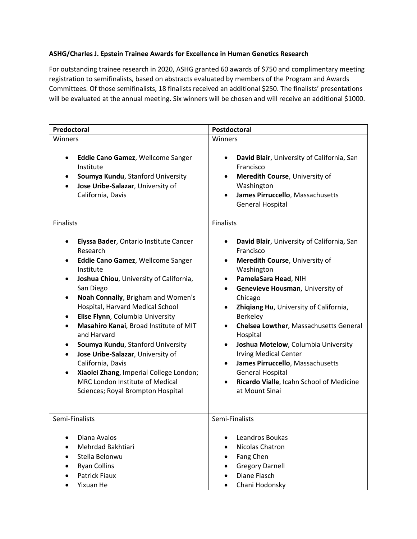## **ASHG/Charles J. Epstein Trainee Awards for Excellence in Human Genetics Research**

For outstanding trainee research in 2020, ASHG granted 60 awards of \$750 and complimentary meeting registration to semifinalists, based on abstracts evaluated by members of the Program and Awards Committees. Of those semifinalists, 18 finalists received an additional \$250. The finalists' presentations will be evaluated at the annual meeting. Six winners will be chosen and will receive an additional \$1000.

| Predoctoral                                                                                                                                                                                                                                                                                                                                                                                                                                                                                                                                                                  | Postdoctoral                                                                                                                                                                                                                                                                                                                                                                                                                                                                                                                                                                                        |
|------------------------------------------------------------------------------------------------------------------------------------------------------------------------------------------------------------------------------------------------------------------------------------------------------------------------------------------------------------------------------------------------------------------------------------------------------------------------------------------------------------------------------------------------------------------------------|-----------------------------------------------------------------------------------------------------------------------------------------------------------------------------------------------------------------------------------------------------------------------------------------------------------------------------------------------------------------------------------------------------------------------------------------------------------------------------------------------------------------------------------------------------------------------------------------------------|
| Winners                                                                                                                                                                                                                                                                                                                                                                                                                                                                                                                                                                      | Winners                                                                                                                                                                                                                                                                                                                                                                                                                                                                                                                                                                                             |
| Eddie Cano Gamez, Wellcome Sanger<br>Institute<br>Soumya Kundu, Stanford University<br>٠<br>Jose Uribe-Salazar, University of<br>California, Davis                                                                                                                                                                                                                                                                                                                                                                                                                           | David Blair, University of California, San<br>$\bullet$<br>Francisco<br>Meredith Course, University of<br>$\bullet$<br>Washington<br>James Pirruccello, Massachusetts<br>$\bullet$<br><b>General Hospital</b>                                                                                                                                                                                                                                                                                                                                                                                       |
| <b>Finalists</b>                                                                                                                                                                                                                                                                                                                                                                                                                                                                                                                                                             | <b>Finalists</b>                                                                                                                                                                                                                                                                                                                                                                                                                                                                                                                                                                                    |
| Elyssa Bader, Ontario Institute Cancer<br>Research<br>Eddie Cano Gamez, Wellcome Sanger<br>Institute<br>Joshua Chiou, University of California,<br>٠<br>San Diego<br>Noah Connally, Brigham and Women's<br>Hospital, Harvard Medical School<br>Elise Flynn, Columbia University<br>٠<br>Masahiro Kanai, Broad Institute of MIT<br>and Harvard<br>Soumya Kundu, Stanford University<br>Jose Uribe-Salazar, University of<br>California, Davis<br>Xiaolei Zhang, Imperial College London;<br>$\bullet$<br>MRC London Institute of Medical<br>Sciences; Royal Brompton Hospital | David Blair, University of California, San<br>٠<br>Francisco<br>Meredith Course, University of<br>$\bullet$<br>Washington<br>PamelaSara Head, NIH<br>٠<br>Genevieve Housman, University of<br>$\bullet$<br>Chicago<br>Zhiqiang Hu, University of California,<br>$\bullet$<br>Berkeley<br>Chelsea Lowther, Massachusetts General<br>$\bullet$<br>Hospital<br>Joshua Motelow, Columbia University<br>$\bullet$<br><b>Irving Medical Center</b><br>James Pirruccello, Massachusetts<br>$\bullet$<br><b>General Hospital</b><br>Ricardo Vialle, Icahn School of Medicine<br>$\bullet$<br>at Mount Sinai |
| Semi-Finalists                                                                                                                                                                                                                                                                                                                                                                                                                                                                                                                                                               | Semi-Finalists                                                                                                                                                                                                                                                                                                                                                                                                                                                                                                                                                                                      |
| Diana Avalos<br>Mehrdad Bakhtiari<br>Stella Belonwu<br><b>Ryan Collins</b><br><b>Patrick Fiaux</b><br>Yixuan He                                                                                                                                                                                                                                                                                                                                                                                                                                                              | Leandros Boukas<br>$\bullet$<br>Nicolas Chatron<br>Fang Chen<br><b>Gregory Darnell</b><br>Diane Flasch<br>$\bullet$<br>Chani Hodonsky                                                                                                                                                                                                                                                                                                                                                                                                                                                               |